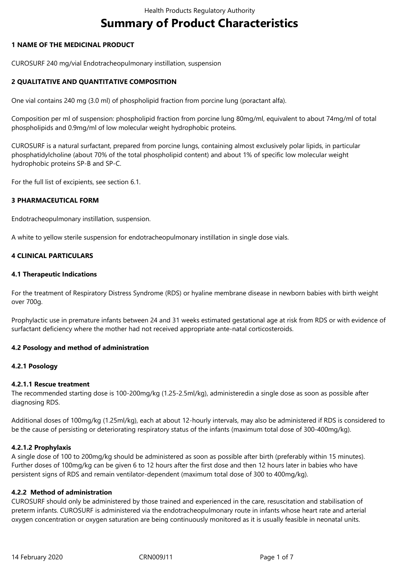# **Summary of Product Characteristics**

## **1 NAME OF THE MEDICINAL PRODUCT**

CUROSURF 240 mg/vial Endotracheopulmonary instillation, suspension

## **2 QUALITATIVE AND QUANTITATIVE COMPOSITION**

One vial contains 240 mg (3.0 ml) of phospholipid fraction from porcine lung (poractant alfa).

Composition per ml of suspension: phospholipid fraction from porcine lung 80mg/ml, equivalent to about 74mg/ml of total phospholipids and 0.9mg/ml of low molecular weight hydrophobic proteins.

CUROSURF is a natural surfactant, prepared from porcine lungs, containing almost exclusively polar lipids, in particular phosphatidylcholine (about 70% of the total phospholipid content) and about 1% of specific low molecular weight hydrophobic proteins SP-B and SP-C.

For the full list of excipients, see section 6.1.

## **3 PHARMACEUTICAL FORM**

Endotracheopulmonary instillation, suspension.

A white to yellow sterile suspension for endotracheopulmonary instillation in single dose vials.

## **4 CLINICAL PARTICULARS**

## **4.1 Therapeutic Indications**

For the treatment of Respiratory Distress Syndrome (RDS) or hyaline membrane disease in newborn babies with birth weight over 700g.

Prophylactic use in premature infants between 24 and 31 weeks estimated gestational age at risk from RDS or with evidence of surfactant deficiency where the mother had not received appropriate ante-natal corticosteroids.

## **4.2 Posology and method of administration**

#### **4.2.1 Posology**

#### **4.2.1.1 Rescue treatment**

The recommended starting dose is 100-200mg/kg (1.25-2.5ml/kg), administeredin a single dose as soon as possible after diagnosing RDS.

Additional doses of 100mg/kg (1.25ml/kg), each at about 12-hourly intervals, may also be administered if RDS is considered to be the cause of persisting or deteriorating respiratory status of the infants (maximum total dose of 300-400mg/kg).

#### **4.2.1.2 Prophylaxis**

A single dose of 100 to 200mg/kg should be administered as soon as possible after birth (preferably within 15 minutes). Further doses of 100mg/kg can be given 6 to 12 hours after the first dose and then 12 hours later in babies who have persistent signs of RDS and remain ventilator-dependent (maximum total dose of 300 to 400mg/kg).

#### **4.2.2 Method of administration**

CUROSURF should only be administered by those trained and experienced in the care, resuscitation and stabilisation of preterm infants. CUROSURF is administered via the endotracheopulmonary route in infants whose heart rate and arterial oxygen concentration or oxygen saturation are being continuously monitored as it is usually feasible in neonatal units.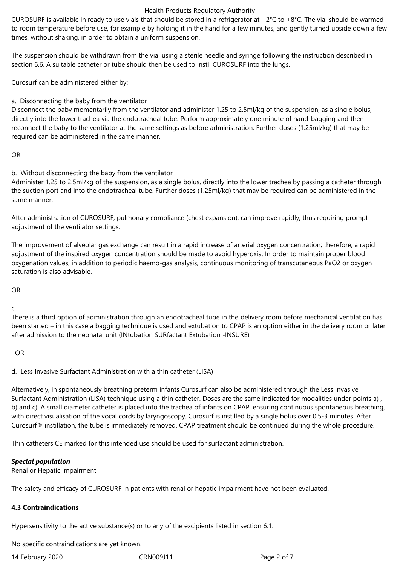CUROSURF is available in ready to use vials that should be stored in a refrigerator at  $+2^{\circ}C$  to  $+8^{\circ}C$ . The vial should be warmed to room temperature before use, for example by holding it in the hand for a few minutes, and gently turned upside down a few times, without shaking, in order to obtain a uniform suspension.

The suspension should be withdrawn from the vial using a sterile needle and syringe following the instruction described in section 6.6. A suitable catheter or tube should then be used to instil CUROSURF into the lungs.

Curosurf can be administered either by:

a. Disconnecting the baby from the ventilator

Disconnect the baby momentarily from the ventilator and administer 1.25 to 2.5ml/kg of the suspension, as a single bolus, directly into the lower trachea via the endotracheal tube. Perform approximately one minute of hand-bagging and then reconnect the baby to the ventilator at the same settings as before administration. Further doses (1.25ml/kg) that may be required can be administered in the same manner.

```
OR
```
b. Without disconnecting the baby from the ventilator

Administer 1.25 to 2.5ml/kg of the suspension, as a single bolus, directly into the lower trachea by passing a catheter through the suction port and into the endotracheal tube. Further doses (1.25ml/kg) that may be required can be administered in the same manner.

After administration of CUROSURF, pulmonary compliance (chest expansion), can improve rapidly, thus requiring prompt adjustment of the ventilator settings.

The improvement of alveolar gas exchange can result in a rapid increase of arterial oxygen concentration; therefore, a rapid adjustment of the inspired oxygen concentration should be made to avoid hyperoxia. In order to maintain proper blood oxygenation values, in addition to periodic haemo-gas analysis, continuous monitoring of transcutaneous PaO2 or oxygen saturation is also advisable.

OR

c.

There is a third option of administration through an endotracheal tube in the delivery room before mechanical ventilation has been started – in this case a bagging technique is used and extubation to CPAP is an option either in the delivery room or later after admission to the neonatal unit (INtubation SURfactant Extubation -INSURE)

OR

d. Less Invasive Surfactant Administration with a thin catheter (LISA)

Alternatively, in spontaneously breathing preterm infants Curosurf can also be administered through the Less Invasive Surfactant Administration (LISA) technique using a thin catheter. Doses are the same indicated for modalities under points a) , b) and c). A small diameter catheter is placed into the trachea of infants on CPAP, ensuring continuous spontaneous breathing, with direct visualisation of the vocal cords by laryngoscopy. Curosurf is instilled by a single bolus over 0.5-3 minutes. After Curosurf® instillation, the tube is immediately removed. CPAP treatment should be continued during the whole procedure.

Thin catheters CE marked for this intended use should be used for surfactant administration.

## *Special population*

Renal or Hepatic impairment

The safety and efficacy of CUROSURF in patients with renal or hepatic impairment have not been evaluated.

## **4.3 Contraindications**

Hypersensitivity to the active substance(s) or to any of the excipients listed in section 6.1.

No specific contraindications are yet known.

14 February 2020 CRN009J11 Page 2 of 7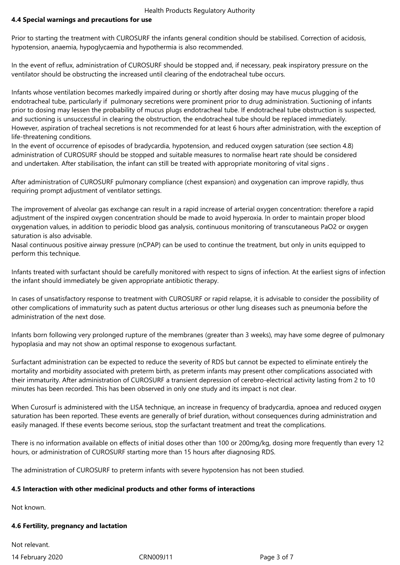## **4.4 Special warnings and precautions for use**

Prior to starting the treatment with CUROSURF the infants general condition should be stabilised. Correction of acidosis, hypotension, anaemia, hypoglycaemia and hypothermia is also recommended.

In the event of reflux, administration of CUROSURF should be stopped and, if necessary, peak inspiratory pressure on the ventilator should be obstructing the increased until clearing of the endotracheal tube occurs.

Infants whose ventilation becomes markedly impaired during or shortly after dosing may have mucus plugging of the endotracheal tube, particularly if pulmonary secretions were prominent prior to drug administration. Suctioning of infants prior to dosing may lessen the probability of mucus plugs endotracheal tube. If endotracheal tube obstruction is suspected, and suctioning is unsuccessful in clearing the obstruction, the endotracheal tube should be replaced immediately. However, aspiration of tracheal secretions is not recommended for at least 6 hours after administration, with the exception of life-threatening conditions.

In the event of occurrence of episodes of bradycardia, hypotension, and reduced oxygen saturation (see section 4.8) administration of CUROSURF should be stopped and suitable measures to normalise heart rate should be considered and undertaken. After stabilisation, the infant can still be treated with appropriate monitoring of vital signs .

After administration of CUROSURF pulmonary compliance (chest expansion) and oxygenation can improve rapidly, thus requiring prompt adjustment of ventilator settings.

The improvement of alveolar gas exchange can result in a rapid increase of arterial oxygen concentration: therefore a rapid adjustment of the inspired oxygen concentration should be made to avoid hyperoxia. In order to maintain proper blood oxygenation values, in addition to periodic blood gas analysis, continuous monitoring of transcutaneous PaO2 or oxygen saturation is also advisable.

Nasal continuous positive airway pressure (nCPAP) can be used to continue the treatment, but only in units equipped to perform this technique.

Infants treated with surfactant should be carefully monitored with respect to signs of infection. At the earliest signs of infection the infant should immediately be given appropriate antibiotic therapy.

In cases of unsatisfactory response to treatment with CUROSURF or rapid relapse, it is advisable to consider the possibility of other complications of immaturity such as patent ductus arteriosus or other lung diseases such as pneumonia before the administration of the next dose.

Infants born following very prolonged rupture of the membranes (greater than 3 weeks), may have some degree of pulmonary hypoplasia and may not show an optimal response to exogenous surfactant.

Surfactant administration can be expected to reduce the severity of RDS but cannot be expected to eliminate entirely the mortality and morbidity associated with preterm birth, as preterm infants may present other complications associated with their immaturity. After administration of CUROSURF a transient depression of cerebro-electrical activity lasting from 2 to 10 minutes has been recorded. This has been observed in only one study and its impact is not clear.

When Curosurf is administered with the LISA technique, an increase in frequency of bradycardia, apnoea and reduced oxygen saturation has been reported. These events are generally of brief duration, without consequences during administration and easily managed. If these events become serious, stop the surfactant treatment and treat the complications.

There is no information available on effects of initial doses other than 100 or 200mg/kg, dosing more frequently than every 12 hours, or administration of CUROSURF starting more than 15 hours after diagnosing RDS.

The administration of CUROSURF to preterm infants with severe hypotension has not been studied.

#### **4.5 Interaction with other medicinal products and other forms of interactions**

Not known.

#### **4.6 Fertility, pregnancy and lactation**

Not relevant.

14 February 2020 CRN009J11 Page 3 of 7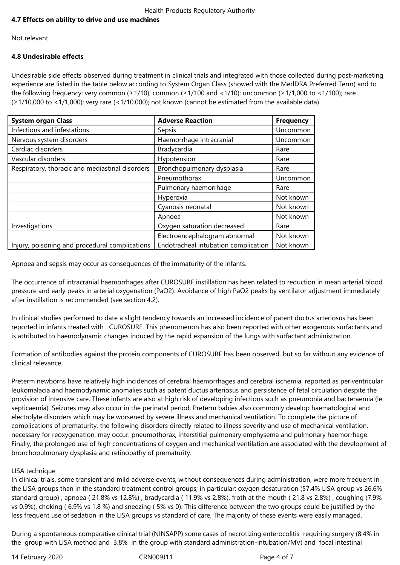## **4.7 Effects on ability to drive and use machines**

Not relevant.

## **4.8 Undesirable effects**

Undesirable side effects observed during treatment in clinical trials and integrated with those collected during post-marketing experience are listed in the table below according to System Organ Class (showed with the MedDRA Preferred Term) and to the following frequency: very common (≥1/10); common (≥1/100 and <1/10); uncommon (≥1/1,000 to <1/100); rare (≥1/10,000 to <1/1,000); very rare (<1/10,000); not known (cannot be estimated from the available data).

| <b>System organ Class</b>                       | <b>Adverse Reaction</b>              | <b>Frequency</b> |
|-------------------------------------------------|--------------------------------------|------------------|
| Infections and infestations                     | Sepsis                               | Uncommon         |
| Nervous system disorders                        | Haemorrhage intracranial             | Uncommon         |
| Cardiac disorders                               | Bradycardia                          | Rare             |
| Vascular disorders                              | Hypotension                          | Rare             |
| Respiratory, thoracic and mediastinal disorders | Bronchopulmonary dysplasia           | Rare             |
|                                                 | Pneumothorax                         | Uncommon         |
|                                                 | Pulmonary haemorrhage                | Rare             |
|                                                 | Hyperoxia                            | Not known        |
|                                                 | Cyanosis neonatal                    | Not known        |
|                                                 | Apnoea                               | Not known        |
| Investigations                                  | Oxygen saturation decreased          | Rare             |
|                                                 | Electroencephalogram abnormal        | Not known        |
| Injury, poisoning and procedural complications  | Endotracheal intubation complication | Not known        |

Apnoea and sepsis may occur as consequences of the immaturity of the infants.

The occurrence of intracranial haemorrhages after CUROSURF instillation has been related to reduction in mean arterial blood pressure and early peaks in arterial oxygenation (PaO2). Avoidance of high PaO2 peaks by ventilator adjustment immediately after instillation is recommended (see section 4.2).

In clinical studies performed to date a slight tendency towards an increased incidence of patent ductus arteriosus has been reported in infants treated with CUROSURF. This phenomenon has also been reported with other exogenous surfactants and is attributed to haemodynamic changes induced by the rapid expansion of the lungs with surfactant administration.

Formation of antibodies against the protein components of CUROSURF has been observed, but so far without any evidence of clinical relevance.

Preterm newborns have relatively high incidences of cerebral haemorrhages and cerebral ischemia, reported as periventricular leukomalacia and haemodynamic anomalies such as patent ductus arteriosus and persistence of fetal circulation despite the provision of intensive care. These infants are also at high risk of developing infections such as pneumonia and bacteraemia (ie septicaemia). Seizures may also occur in the perinatal period. Preterm babies also commonly develop haematological and electrolyte disorders which may be worsened by severe illness and mechanical ventilation. To complete the picture of complications of prematurity, the following disorders directly related to illness severity and use of mechanical ventilation, necessary for reoxygenation, may occur: pneumothorax, interstitial pulmonary emphysema and pulmonary haemorrhage. Finally, the prolonged use of high concentrations of oxygen and mechanical ventilation are associated with the development of bronchopulmonary dysplasia and retinopathy of prematurity.

#### LISA technique

In clinical trials, some transient and mild adverse events, without consequences during administration, were more frequent in the LISA groups than in the standard treatment control groups; in particular: oxygen desaturation (57.4% LISA group vs 26.6% standard group) , apnoea ( 21.8% vs 12.8%) , bradycardia ( 11.9% vs 2.8%), froth at the mouth ( 21.8 vs 2.8%) , coughing (7.9% vs 0.9%), choking ( 6.9% vs 1.8 %) and sneezing ( 5% vs 0). This difference between the two groups could be justified by the less frequent use of sedation in the LISA groups vs standard of care. The majority of these events were easily managed.

During a spontaneous comparative clinical trial (NINSAPP) some cases of necrotizing enterocolitis requiring surgery (8.4% in the group with LISA method and 3.8% in the group with standard administration-intubation/MV) and focal intestinal

14 February 2020 **CRN009J11** CRN009J11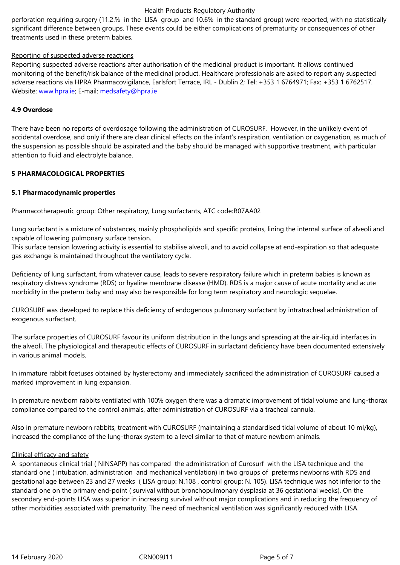treatments used in these preterm babies.

#### Reporting of suspected adverse reactions

Reporting suspected adverse reactions after authorisation of the medicinal product is important. It allows continued monitoring of the benefit/risk balance of the medicinal product. Healthcare professionals are asked to report any suspected adverse reactions via HPRA Pharmacovigilance, Earlsfort Terrace, IRL - Dublin 2; Tel: +353 1 6764971; Fax: +353 1 6762517. Website: www.hpra.ie; E-mail: medsafety@hpra.ie

#### **4.9 Overdose**

There ha[ve been no re](http://www.hpra.ie/)ports o[f overdosage follow](mailto:medsafety@hpra.ie)ing the administration of CUROSURF. However, in the unlikely event of accidental overdose, and only if there are clear clinical effects on the infant's respiration, ventilation or oxygenation, as much of the suspension as possible should be aspirated and the baby should be managed with supportive treatment, with particular attention to fluid and electrolyte balance.

#### **5 PHARMACOLOGICAL PROPERTIES**

#### **5.1 Pharmacodynamic properties**

Pharmacotherapeutic group: Other respiratory, Lung surfactants, ATC code:R07AA02

Lung surfactant is a mixture of substances, mainly phospholipids and specific proteins, lining the internal surface of alveoli and capable of lowering pulmonary surface tension.

This surface tension lowering activity is essential to stabilise alveoli, and to avoid collapse at end-expiration so that adequate gas exchange is maintained throughout the ventilatory cycle.

Deficiency of lung surfactant, from whatever cause, leads to severe respiratory failure which in preterm babies is known as respiratory distress syndrome (RDS) or hyaline membrane disease (HMD). RDS is a major cause of acute mortality and acute morbidity in the preterm baby and may also be responsible for long term respiratory and neurologic sequelae.

CUROSURF was developed to replace this deficiency of endogenous pulmonary surfactant by intratracheal administration of exogenous surfactant.

The surface properties of CUROSURF favour its uniform distribution in the lungs and spreading at the air-liquid interfaces in the alveoli. The physiological and therapeutic effects of CUROSURF in surfactant deficiency have been documented extensively in various animal models.

In immature rabbit foetuses obtained by hysterectomy and immediately sacrificed the administration of CUROSURF caused a marked improvement in lung expansion.

In premature newborn rabbits ventilated with 100% oxygen there was a dramatic improvement of tidal volume and lung-thorax compliance compared to the control animals, after administration of CUROSURF via a tracheal cannula.

Also in premature newborn rabbits, treatment with CUROSURF (maintaining a standardised tidal volume of about 10 ml/kg), increased the compliance of the lung-thorax system to a level similar to that of mature newborn animals.

#### Clinical efficacy and safety

A spontaneous clinical trial ( NINSAPP) has compared the administration of Curosurf with the LISA technique and the standard one ( intubation, administration and mechanical ventilation) in two groups of preterms newborns with RDS and gestational age between 23 and 27 weeks ( LISA group: N.108 , control group: N. 105). LISA technique was not inferior to the standard one on the primary end-point ( survival without bronchopulmonary dysplasia at 36 gestational weeks). On the secondary end-points LISA was superior in increasing survival without major complications and in reducing the frequency of other morbidities associated with prematurity. The need of mechanical ventilation was significantly reduced with LISA.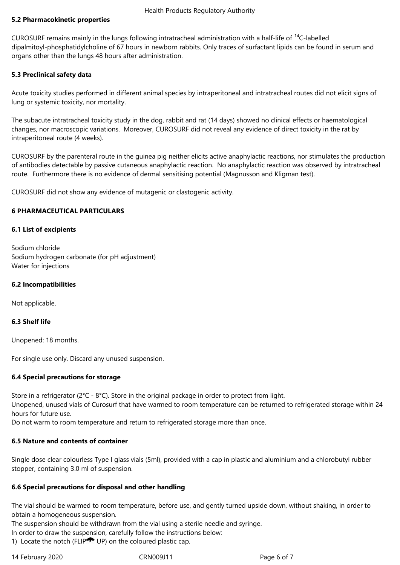## **5.2 Pharmacokinetic properties**

CUROSURF remains mainly in the lungs following intratracheal administration with a half-life of <sup>14</sup>C-labelled dipalmitoyl-phosphatidylcholine of 67 hours in newborn rabbits. Only traces of surfactant lipids can be found in serum and organs other than the lungs 48 hours after administration.

## **5.3 Preclinical safety data**

Acute toxicity studies performed in different animal species by intraperitoneal and intratracheal routes did not elicit signs of lung or systemic toxicity, nor mortality.

The subacute intratracheal toxicity study in the dog, rabbit and rat (14 days) showed no clinical effects or haematological changes, nor macroscopic variations. Moreover, CUROSURF did not reveal any evidence of direct toxicity in the rat by intraperitoneal route (4 weeks).

CUROSURF by the parenteral route in the guinea pig neither elicits active anaphylactic reactions, nor stimulates the production of antibodies detectable by passive cutaneous anaphylactic reaction. No anaphylactic reaction was observed by intratracheal route. Furthermore there is no evidence of dermal sensitising potential (Magnusson and Kligman test).

CUROSURF did not show any evidence of mutagenic or clastogenic activity.

## **6 PHARMACEUTICAL PARTICULARS**

## **6.1 List of excipients**

Sodium chloride Sodium hydrogen carbonate (for pH adjustment) Water for injections

#### **6.2 Incompatibilities**

Not applicable.

#### **6.3 Shelf life**

Unopened: 18 months.

For single use only. Discard any unused suspension.

## **6.4 Special precautions for storage**

Store in a refrigerator ( $2^{\circ}$ C -  $8^{\circ}$ C). Store in the original package in order to protect from light.

Unopened, unused vials of Curosurf that have warmed to room temperature can be returned to refrigerated storage within 24 hours for future use.

Do not warm to room temperature and return to refrigerated storage more than once.

## **6.5 Nature and contents of container**

Single dose clear colourless Type I glass vials (5ml), provided with a cap in plastic and aluminium and a chlorobutyl rubber stopper, containing 3.0 ml of suspension.

## **6.6 Special precautions for disposal and other handling**

The vial should be warmed to room temperature, before use, and gently turned upside down, without shaking, in order to obtain a homogeneous suspension.

The suspension should be withdrawn from the vial using a sterile needle and syringe.

In order to draw the suspension, carefully follow the instructions below:

1) Locate the notch (FLIP UP) on the coloured plastic cap.

14 February 2020 CRN009J11 Page 6 of 7